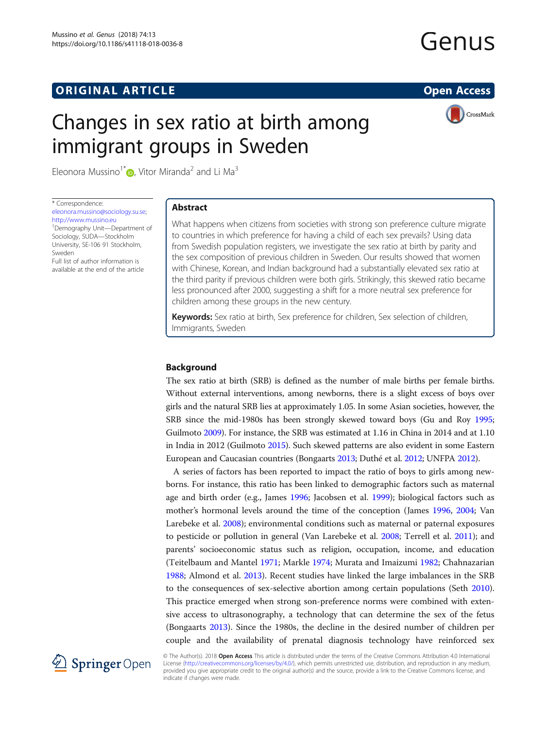# **ORIGINAL ARTICLE CONSERVANCE IN A LOCAL CONSERVANCE IN A LOCAL CONSERVANCE IN A LOCAL CONSERVANCE IN A LOCAL CONSERVANCE IN A LOCAL CONSERVANCE IN A LOCAL CONSERVANCE IN A LOCAL CONSERVANCE IN A LOCAL CONSERVANCE IN A L**

# Genus

# Changes in sex ratio at birth among immigrant groups in Sweden



Eleonora Mussino<sup>1[\\*](http://orcid.org/0000-0002-5311-4277)</sup>  $\bullet$ , Vitor Miranda<sup>2</sup> and Li Ma<sup>3</sup>

\* Correspondence:

[eleonora.mussino@sociology.su.se;](mailto:eleonora.mussino@sociology.su.se) [http://www.mussino.eu](EleonoraMussinoeleonora.mussino@sociology.su.sehttp://www.mussino.euVitorMirandaLiMaDemography UnitDepartment of SociologySUDAStockholm UniversitySE-106 91StockholmSwedenStatistics SwedenStockholmSwedenKarlstad UniversityKarlstadSweden) <sup>1</sup>Demography Unit-Department of Sociology, SUDA—Stockholm University, SE-106 91 Stockholm, Sweden Full list of author information is

available at the end of the article

### Abstract

What happens when citizens from societies with strong son preference culture migrate to countries in which preference for having a child of each sex prevails? Using data from Swedish population registers, we investigate the sex ratio at birth by parity and the sex composition of previous children in Sweden. Our results showed that women with Chinese, Korean, and Indian background had a substantially elevated sex ratio at the third parity if previous children were both girls. Strikingly, this skewed ratio became less pronounced after 2000, suggesting a shift for a more neutral sex preference for children among these groups in the new century.

Keywords: Sex ratio at birth, Sex preference for children, Sex selection of children, Immigrants, Sweden

#### Background

The sex ratio at birth (SRB) is defined as the number of male births per female births. Without external interventions, among newborns, there is a slight excess of boys over girls and the natural SRB lies at approximately 1.05. In some Asian societies, however, the SRB since the mid-1980s has been strongly skewed toward boys (Gu and Roy [1995](#page-13-0); Guilmoto [2009](#page-13-0)). For instance, the SRB was estimated at 1.16 in China in 2014 and at 1.10 in India in 2012 (Guilmoto [2015](#page-13-0)). Such skewed patterns are also evident in some Eastern European and Caucasian countries (Bongaarts [2013;](#page-12-0) Duthé et al. [2012;](#page-12-0) UNFPA [2012\)](#page-13-0).

A series of factors has been reported to impact the ratio of boys to girls among newborns. For instance, this ratio has been linked to demographic factors such as maternal age and birth order (e.g., James [1996;](#page-13-0) Jacobsen et al. [1999\)](#page-13-0); biological factors such as mother's hormonal levels around the time of the conception (James [1996,](#page-13-0) [2004;](#page-13-0) Van Larebeke et al. [2008\)](#page-13-0); environmental conditions such as maternal or paternal exposures to pesticide or pollution in general (Van Larebeke et al. [2008;](#page-13-0) Terrell et al. [2011\)](#page-13-0); and parents' socioeconomic status such as religion, occupation, income, and education (Teitelbaum and Mantel [1971](#page-13-0); Markle [1974;](#page-13-0) Murata and Imaizumi [1982](#page-13-0); Chahnazarian [1988](#page-12-0); Almond et al. [2013](#page-12-0)). Recent studies have linked the large imbalances in the SRB to the consequences of sex-selective abortion among certain populations (Seth [2010](#page-13-0)). This practice emerged when strong son-preference norms were combined with extensive access to ultrasonography, a technology that can determine the sex of the fetus (Bongaarts [2013\)](#page-12-0). Since the 1980s, the decline in the desired number of children per couple and the availability of prenatal diagnosis technology have reinforced sex



© The Author(s). 2018 Open Access This article is distributed under the terms of the Creative Commons Attribution 4.0 International License [\(http://creativecommons.org/licenses/by/4.0/](http://creativecommons.org/licenses/by/4.0/)), which permits unrestricted use, distribution, and reproduction in any medium, provided you give appropriate credit to the original author(s) and the source, provide a link to the Creative Commons license, and indicate if changes were made.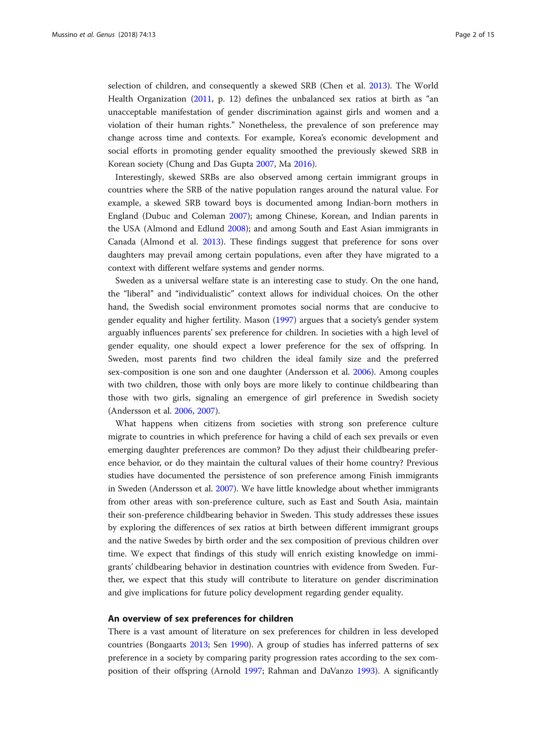selection of children, and consequently a skewed SRB (Chen et al. [2013\)](#page-12-0). The World Health Organization [\(2011,](#page-14-0) p. 12) defines the unbalanced sex ratios at birth as "an unacceptable manifestation of gender discrimination against girls and women and a violation of their human rights." Nonetheless, the prevalence of son preference may change across time and contexts. For example, Korea's economic development and social efforts in promoting gender equality smoothed the previously skewed SRB in Korean society (Chung and Das Gupta [2007,](#page-12-0) Ma [2016\)](#page-13-0).

Interestingly, skewed SRBs are also observed among certain immigrant groups in countries where the SRB of the native population ranges around the natural value. For example, a skewed SRB toward boys is documented among Indian-born mothers in England (Dubuc and Coleman [2007](#page-12-0)); among Chinese, Korean, and Indian parents in the USA (Almond and Edlund [2008\)](#page-12-0); and among South and East Asian immigrants in Canada (Almond et al. [2013](#page-12-0)). These findings suggest that preference for sons over daughters may prevail among certain populations, even after they have migrated to a context with different welfare systems and gender norms.

Sweden as a universal welfare state is an interesting case to study. On the one hand, the "liberal" and "individualistic" context allows for individual choices. On the other hand, the Swedish social environment promotes social norms that are conducive to gender equality and higher fertility. Mason [\(1997\)](#page-13-0) argues that a society's gender system arguably influences parents' sex preference for children. In societies with a high level of gender equality, one should expect a lower preference for the sex of offspring. In Sweden, most parents find two children the ideal family size and the preferred sex-composition is one son and one daughter (Andersson et al. [2006](#page-12-0)). Among couples with two children, those with only boys are more likely to continue childbearing than those with two girls, signaling an emergence of girl preference in Swedish society (Andersson et al. [2006,](#page-12-0) [2007](#page-12-0)).

What happens when citizens from societies with strong son preference culture migrate to countries in which preference for having a child of each sex prevails or even emerging daughter preferences are common? Do they adjust their childbearing preference behavior, or do they maintain the cultural values of their home country? Previous studies have documented the persistence of son preference among Finish immigrants in Sweden (Andersson et al. [2007](#page-12-0)). We have little knowledge about whether immigrants from other areas with son-preference culture, such as East and South Asia, maintain their son-preference childbearing behavior in Sweden. This study addresses these issues by exploring the differences of sex ratios at birth between different immigrant groups and the native Swedes by birth order and the sex composition of previous children over time. We expect that findings of this study will enrich existing knowledge on immigrants' childbearing behavior in destination countries with evidence from Sweden. Further, we expect that this study will contribute to literature on gender discrimination and give implications for future policy development regarding gender equality.

#### An overview of sex preferences for children

There is a vast amount of literature on sex preferences for children in less developed countries (Bongaarts [2013](#page-12-0); Sen [1990\)](#page-13-0). A group of studies has inferred patterns of sex preference in a society by comparing parity progression rates according to the sex composition of their offspring (Arnold [1997;](#page-12-0) Rahman and DaVanzo [1993](#page-13-0)). A significantly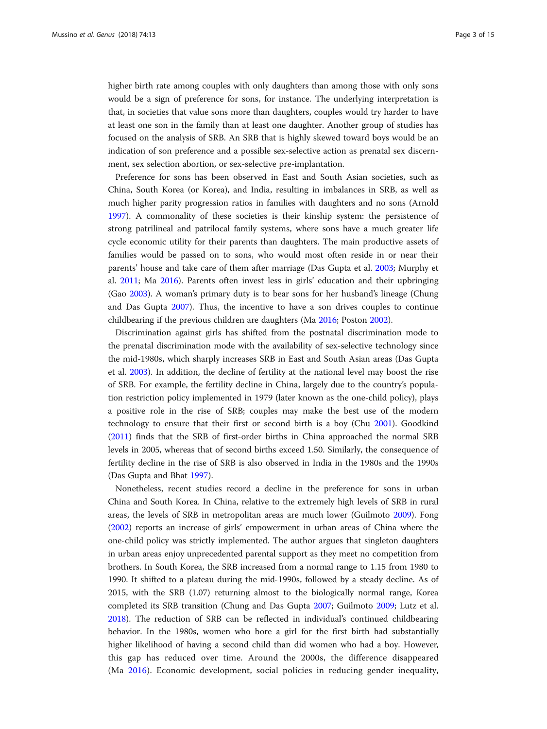higher birth rate among couples with only daughters than among those with only sons would be a sign of preference for sons, for instance. The underlying interpretation is that, in societies that value sons more than daughters, couples would try harder to have at least one son in the family than at least one daughter. Another group of studies has focused on the analysis of SRB. An SRB that is highly skewed toward boys would be an indication of son preference and a possible sex-selective action as prenatal sex discernment, sex selection abortion, or sex-selective pre-implantation.

Preference for sons has been observed in East and South Asian societies, such as China, South Korea (or Korea), and India, resulting in imbalances in SRB, as well as much higher parity progression ratios in families with daughters and no sons (Arnold [1997](#page-12-0)). A commonality of these societies is their kinship system: the persistence of strong patrilineal and patrilocal family systems, where sons have a much greater life cycle economic utility for their parents than daughters. The main productive assets of families would be passed on to sons, who would most often reside in or near their parents' house and take care of them after marriage (Das Gupta et al. [2003](#page-12-0); Murphy et al. [2011;](#page-13-0) Ma [2016](#page-13-0)). Parents often invest less in girls' education and their upbringing (Gao [2003\)](#page-13-0). A woman's primary duty is to bear sons for her husband's lineage (Chung and Das Gupta [2007](#page-12-0)). Thus, the incentive to have a son drives couples to continue childbearing if the previous children are daughters (Ma [2016;](#page-13-0) Poston [2002\)](#page-13-0).

Discrimination against girls has shifted from the postnatal discrimination mode to the prenatal discrimination mode with the availability of sex-selective technology since the mid-1980s, which sharply increases SRB in East and South Asian areas (Das Gupta et al. [2003\)](#page-12-0). In addition, the decline of fertility at the national level may boost the rise of SRB. For example, the fertility decline in China, largely due to the country's population restriction policy implemented in 1979 (later known as the one-child policy), plays a positive role in the rise of SRB; couples may make the best use of the modern technology to ensure that their first or second birth is a boy (Chu [2001](#page-12-0)). Goodkind ([2011](#page-13-0)) finds that the SRB of first-order births in China approached the normal SRB levels in 2005, whereas that of second births exceed 1.50. Similarly, the consequence of fertility decline in the rise of SRB is also observed in India in the 1980s and the 1990s (Das Gupta and Bhat [1997\)](#page-12-0).

Nonetheless, recent studies record a decline in the preference for sons in urban China and South Korea. In China, relative to the extremely high levels of SRB in rural areas, the levels of SRB in metropolitan areas are much lower (Guilmoto [2009](#page-13-0)). Fong ([2002](#page-12-0)) reports an increase of girls' empowerment in urban areas of China where the one-child policy was strictly implemented. The author argues that singleton daughters in urban areas enjoy unprecedented parental support as they meet no competition from brothers. In South Korea, the SRB increased from a normal range to 1.15 from 1980 to 1990. It shifted to a plateau during the mid-1990s, followed by a steady decline. As of 2015, with the SRB (1.07) returning almost to the biologically normal range, Korea completed its SRB transition (Chung and Das Gupta [2007](#page-12-0); Guilmoto [2009;](#page-13-0) Lutz et al. [2018](#page-13-0)). The reduction of SRB can be reflected in individual's continued childbearing behavior. In the 1980s, women who bore a girl for the first birth had substantially higher likelihood of having a second child than did women who had a boy. However, this gap has reduced over time. Around the 2000s, the difference disappeared (Ma [2016](#page-13-0)). Economic development, social policies in reducing gender inequality,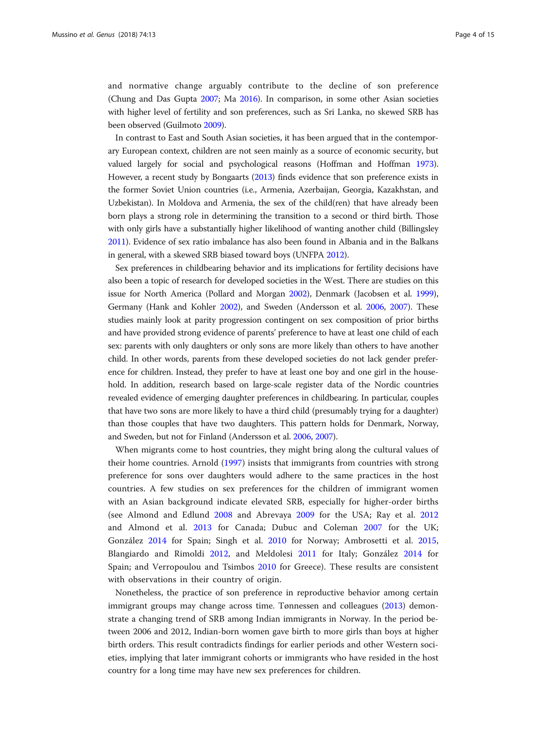and normative change arguably contribute to the decline of son preference (Chung and Das Gupta [2007;](#page-12-0) Ma [2016\)](#page-13-0). In comparison, in some other Asian societies with higher level of fertility and son preferences, such as Sri Lanka, no skewed SRB has been observed (Guilmoto [2009](#page-13-0)).

In contrast to East and South Asian societies, it has been argued that in the contemporary European context, children are not seen mainly as a source of economic security, but valued largely for social and psychological reasons (Hoffman and Hoffman [1973](#page-13-0)). However, a recent study by Bongaarts [\(2013](#page-12-0)) finds evidence that son preference exists in the former Soviet Union countries (i.e., Armenia, Azerbaijan, Georgia, Kazakhstan, and Uzbekistan). In Moldova and Armenia, the sex of the child(ren) that have already been born plays a strong role in determining the transition to a second or third birth. Those with only girls have a substantially higher likelihood of wanting another child (Billingsley [2011\)](#page-12-0). Evidence of sex ratio imbalance has also been found in Albania and in the Balkans in general, with a skewed SRB biased toward boys (UNFPA [2012\)](#page-13-0).

Sex preferences in childbearing behavior and its implications for fertility decisions have also been a topic of research for developed societies in the West. There are studies on this issue for North America (Pollard and Morgan [2002](#page-13-0)), Denmark (Jacobsen et al. [1999](#page-13-0)), Germany (Hank and Kohler [2002\)](#page-13-0), and Sweden (Andersson et al. [2006](#page-12-0), [2007](#page-12-0)). These studies mainly look at parity progression contingent on sex composition of prior births and have provided strong evidence of parents' preference to have at least one child of each sex: parents with only daughters or only sons are more likely than others to have another child. In other words, parents from these developed societies do not lack gender preference for children. Instead, they prefer to have at least one boy and one girl in the household. In addition, research based on large-scale register data of the Nordic countries revealed evidence of emerging daughter preferences in childbearing. In particular, couples that have two sons are more likely to have a third child (presumably trying for a daughter) than those couples that have two daughters. This pattern holds for Denmark, Norway, and Sweden, but not for Finland (Andersson et al. [2006,](#page-12-0) [2007\)](#page-12-0).

When migrants come to host countries, they might bring along the cultural values of their home countries. Arnold [\(1997\)](#page-12-0) insists that immigrants from countries with strong preference for sons over daughters would adhere to the same practices in the host countries. A few studies on sex preferences for the children of immigrant women with an Asian background indicate elevated SRB, especially for higher-order births (see Almond and Edlund [2008](#page-12-0) and Abrevaya [2009](#page-12-0) for the USA; Ray et al. [2012](#page-13-0) and Almond et al. [2013](#page-12-0) for Canada; Dubuc and Coleman [2007](#page-12-0) for the UK; González [2014](#page-13-0) for Spain; Singh et al. [2010](#page-13-0) for Norway; Ambrosetti et al. [2015](#page-12-0), Blangiardo and Rimoldi [2012,](#page-12-0) and Meldolesi [2011](#page-13-0) for Italy; González [2014](#page-13-0) for Spain; and Verropoulou and Tsimbos [2010](#page-13-0) for Greece). These results are consistent with observations in their country of origin.

Nonetheless, the practice of son preference in reproductive behavior among certain immigrant groups may change across time. Tønnessen and colleagues [\(2013\)](#page-14-0) demonstrate a changing trend of SRB among Indian immigrants in Norway. In the period between 2006 and 2012, Indian-born women gave birth to more girls than boys at higher birth orders. This result contradicts findings for earlier periods and other Western societies, implying that later immigrant cohorts or immigrants who have resided in the host country for a long time may have new sex preferences for children.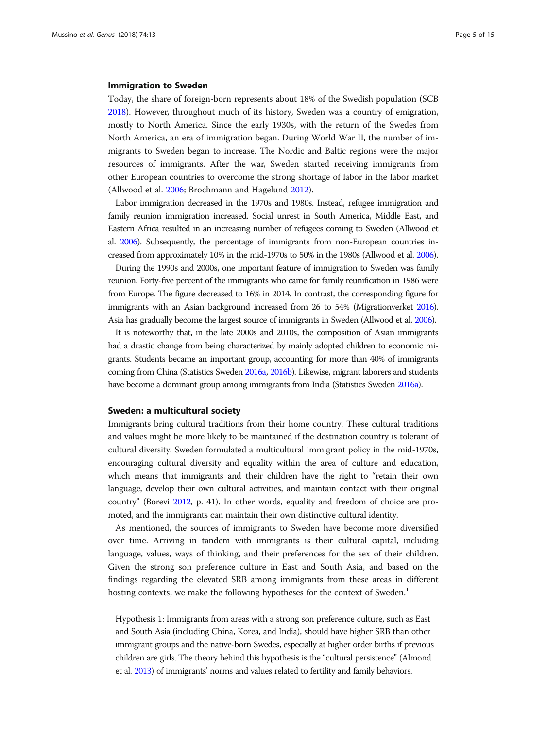#### Immigration to Sweden

Today, the share of foreign-born represents about 18% of the Swedish population (SCB [2018](#page-13-0)). However, throughout much of its history, Sweden was a country of emigration, mostly to North America. Since the early 1930s, with the return of the Swedes from North America, an era of immigration began. During World War II, the number of immigrants to Sweden began to increase. The Nordic and Baltic regions were the major resources of immigrants. After the war, Sweden started receiving immigrants from other European countries to overcome the strong shortage of labor in the labor market (Allwood et al. [2006](#page-12-0); Brochmann and Hagelund [2012](#page-12-0)).

Labor immigration decreased in the 1970s and 1980s. Instead, refugee immigration and family reunion immigration increased. Social unrest in South America, Middle East, and Eastern Africa resulted in an increasing number of refugees coming to Sweden (Allwood et al. [2006](#page-12-0)). Subsequently, the percentage of immigrants from non-European countries increased from approximately 10% in the mid-1970s to 50% in the 1980s (Allwood et al. [2006](#page-12-0)).

During the 1990s and 2000s, one important feature of immigration to Sweden was family reunion. Forty-five percent of the immigrants who came for family reunification in 1986 were from Europe. The figure decreased to 16% in 2014. In contrast, the corresponding figure for immigrants with an Asian background increased from 26 to 54% (Migrationverket [2016\)](#page-13-0). Asia has gradually become the largest source of immigrants in Sweden (Allwood et al. [2006](#page-12-0)).

It is noteworthy that, in the late 2000s and 2010s, the composition of Asian immigrants had a drastic change from being characterized by mainly adopted children to economic migrants. Students became an important group, accounting for more than 40% of immigrants coming from China (Statistics Sweden [2016a,](#page-13-0) [2016b\)](#page-13-0). Likewise, migrant laborers and students have become a dominant group among immigrants from India (Statistics Sweden [2016a\)](#page-13-0).

#### Sweden: a multicultural society

Immigrants bring cultural traditions from their home country. These cultural traditions and values might be more likely to be maintained if the destination country is tolerant of cultural diversity. Sweden formulated a multicultural immigrant policy in the mid-1970s, encouraging cultural diversity and equality within the area of culture and education, which means that immigrants and their children have the right to "retain their own language, develop their own cultural activities, and maintain contact with their original country" (Borevi [2012,](#page-12-0) p. 41). In other words, equality and freedom of choice are promoted, and the immigrants can maintain their own distinctive cultural identity.

As mentioned, the sources of immigrants to Sweden have become more diversified over time. Arriving in tandem with immigrants is their cultural capital, including language, values, ways of thinking, and their preferences for the sex of their children. Given the strong son preference culture in East and South Asia, and based on the findings regarding the elevated SRB among immigrants from these areas in different hosting contexts, we make the following hypotheses for the context of Sweden.<sup>1</sup>

Hypothesis 1: Immigrants from areas with a strong son preference culture, such as East and South Asia (including China, Korea, and India), should have higher SRB than other immigrant groups and the native-born Swedes, especially at higher order births if previous children are girls. The theory behind this hypothesis is the "cultural persistence" (Almond et al. [2013\)](#page-12-0) of immigrants' norms and values related to fertility and family behaviors.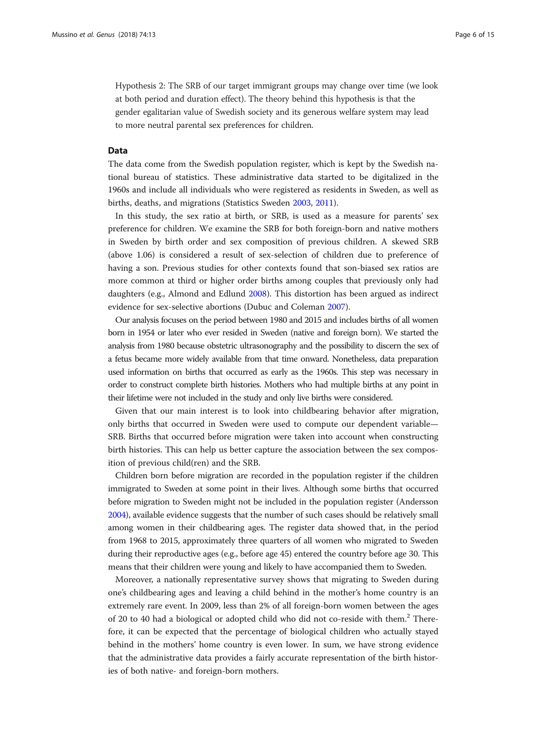Hypothesis 2: The SRB of our target immigrant groups may change over time (we look at both period and duration effect). The theory behind this hypothesis is that the gender egalitarian value of Swedish society and its generous welfare system may lead to more neutral parental sex preferences for children.

#### Data

The data come from the Swedish population register, which is kept by the Swedish national bureau of statistics. These administrative data started to be digitalized in the 1960s and include all individuals who were registered as residents in Sweden, as well as births, deaths, and migrations (Statistics Sweden [2003,](#page-13-0) [2011](#page-13-0)).

In this study, the sex ratio at birth, or SRB, is used as a measure for parents' sex preference for children. We examine the SRB for both foreign-born and native mothers in Sweden by birth order and sex composition of previous children. A skewed SRB (above 1.06) is considered a result of sex-selection of children due to preference of having a son. Previous studies for other contexts found that son-biased sex ratios are more common at third or higher order births among couples that previously only had daughters (e.g., Almond and Edlund [2008](#page-12-0)). This distortion has been argued as indirect evidence for sex-selective abortions (Dubuc and Coleman [2007](#page-12-0)).

Our analysis focuses on the period between 1980 and 2015 and includes births of all women born in 1954 or later who ever resided in Sweden (native and foreign born). We started the analysis from 1980 because obstetric ultrasonography and the possibility to discern the sex of a fetus became more widely available from that time onward. Nonetheless, data preparation used information on births that occurred as early as the 1960s. This step was necessary in order to construct complete birth histories. Mothers who had multiple births at any point in their lifetime were not included in the study and only live births were considered.

Given that our main interest is to look into childbearing behavior after migration, only births that occurred in Sweden were used to compute our dependent variable— SRB. Births that occurred before migration were taken into account when constructing birth histories. This can help us better capture the association between the sex composition of previous child(ren) and the SRB.

Children born before migration are recorded in the population register if the children immigrated to Sweden at some point in their lives. Although some births that occurred before migration to Sweden might not be included in the population register (Andersson [2004\)](#page-12-0), available evidence suggests that the number of such cases should be relatively small among women in their childbearing ages. The register data showed that, in the period from 1968 to 2015, approximately three quarters of all women who migrated to Sweden during their reproductive ages (e.g., before age 45) entered the country before age 30. This means that their children were young and likely to have accompanied them to Sweden.

Moreover, a nationally representative survey shows that migrating to Sweden during one's childbearing ages and leaving a child behind in the mother's home country is an extremely rare event. In 2009, less than 2% of all foreign-born women between the ages of 20 to 40 had a biological or adopted child who did not co-reside with them.<sup>2</sup> Therefore, it can be expected that the percentage of biological children who actually stayed behind in the mothers' home country is even lower. In sum, we have strong evidence that the administrative data provides a fairly accurate representation of the birth histories of both native- and foreign-born mothers.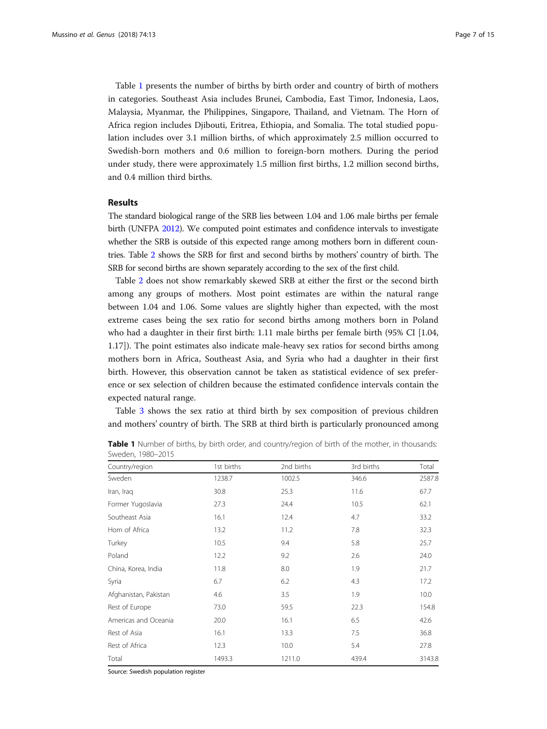Table 1 presents the number of births by birth order and country of birth of mothers in categories. Southeast Asia includes Brunei, Cambodia, East Timor, Indonesia, Laos, Malaysia, Myanmar, the Philippines, Singapore, Thailand, and Vietnam. The Horn of Africa region includes Djibouti, Eritrea, Ethiopia, and Somalia. The total studied population includes over 3.1 million births, of which approximately 2.5 million occurred to Swedish-born mothers and 0.6 million to foreign-born mothers. During the period under study, there were approximately 1.5 million first births, 1.2 million second births, and 0.4 million third births.

#### Results

The standard biological range of the SRB lies between 1.04 and 1.06 male births per female birth (UNFPA [2012](#page-13-0)). We computed point estimates and confidence intervals to investigate whether the SRB is outside of this expected range among mothers born in different countries. Table [2](#page-7-0) shows the SRB for first and second births by mothers' country of birth. The SRB for second births are shown separately according to the sex of the first child.

Table [2](#page-7-0) does not show remarkably skewed SRB at either the first or the second birth among any groups of mothers. Most point estimates are within the natural range between 1.04 and 1.06. Some values are slightly higher than expected, with the most extreme cases being the sex ratio for second births among mothers born in Poland who had a daughter in their first birth: 1.11 male births per female birth (95% CI [1.04, 1.17]). The point estimates also indicate male-heavy sex ratios for second births among mothers born in Africa, Southeast Asia, and Syria who had a daughter in their first birth. However, this observation cannot be taken as statistical evidence of sex preference or sex selection of children because the estimated confidence intervals contain the expected natural range.

Table [3](#page-8-0) shows the sex ratio at third birth by sex composition of previous children and mothers' country of birth. The SRB at third birth is particularly pronounced among

| Country/region        | 1st births | 2nd births | 3rd births | Total  |
|-----------------------|------------|------------|------------|--------|
| Sweden                | 1238.7     | 1002.5     | 346.6      | 2587.8 |
| Iran, Iraq            | 30.8       | 25.3       | 11.6       | 67.7   |
| Former Yugoslavia     | 27.3       | 24.4       | 10.5       | 62.1   |
| Southeast Asia        | 16.1       | 12.4       | 4.7        | 33.2   |
| Horn of Africa        | 13.2       | 11.2       | 7.8        | 32.3   |
| Turkey                | 10.5       | 9.4        | 5.8        | 25.7   |
| Poland                | 12.2       | 9.2        | 2.6        | 24.0   |
| China, Korea, India   | 11.8       | 8.0        | 1.9        | 21.7   |
| Syria                 | 6.7        | 6.2        | 4.3        | 17.2   |
| Afghanistan, Pakistan | 4.6        | 3.5        | 1.9        | 10.0   |
| Rest of Europe        | 73.0       | 59.5       | 22.3       | 154.8  |
| Americas and Oceania  | 20.0       | 16.1       | 6.5        | 42.6   |
| Rest of Asia          | 16.1       | 13.3       | 7.5        | 36.8   |
| Rest of Africa        | 12.3       | 10.0       | 5.4        | 27.8   |
| Total                 | 1493.3     | 1211.0     | 439.4      | 3143.8 |

Table 1 Number of births, by birth order, and country/region of birth of the mother, in thousands: Sweden, 1980–2015

Source: Swedish population register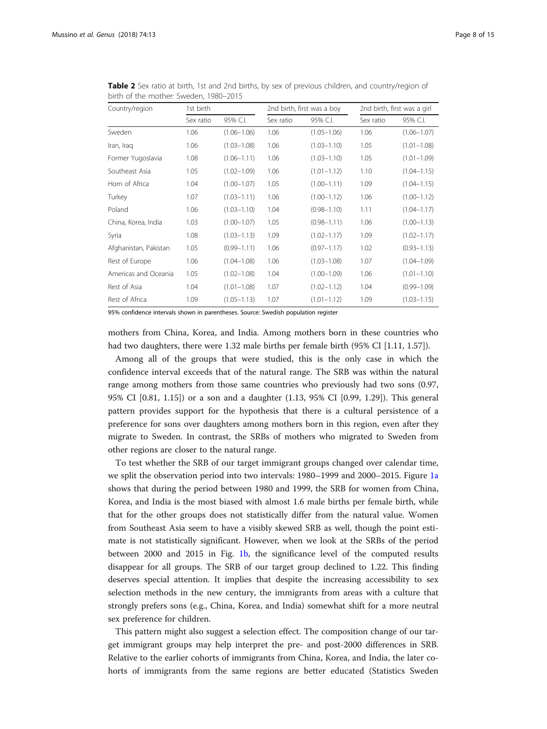| Country/region        | 1st birth |                 | 2nd birth, first was a boy |                 |           | 2nd birth, first was a girl |  |
|-----------------------|-----------|-----------------|----------------------------|-----------------|-----------|-----------------------------|--|
|                       | Sex ratio | 95% C.I.        | Sex ratio                  | 95% C.I.        | Sex ratio | 95% C.I.                    |  |
| Sweden                | 1.06      | $(1.06 - 1.06)$ | 1.06                       | $(1.05 - 1.06)$ | 1.06      | $(1.06 - 1.07)$             |  |
| Iran, Iraq            | 1.06      | $(1.03 - 1.08)$ | 1.06                       | $(1.03 - 1.10)$ | 1.05      | $(1.01 - 1.08)$             |  |
| Former Yugoslavia     | 1.08      | $(1.06 - 1.11)$ | 1.06                       | $(1.03 - 1.10)$ | 1.05      | $(1.01 - 1.09)$             |  |
| Southeast Asia        | 1.05      | $(1.02 - 1.09)$ | 1.06                       | $(1.01 - 1.12)$ | 1.10      | $(1.04 - 1.15)$             |  |
| Horn of Africa        | 1.04      | $(1.00 - 1.07)$ | 1.05                       | $(1.00 - 1.11)$ | 1.09      | $(1.04 - 1.15)$             |  |
| Turkey                | 1.07      | $(1.03 - 1.11)$ | 1.06                       | $(1.00 - 1.12)$ | 1.06      | $(1.00 - 1.12)$             |  |
| Poland                | 1.06      | $(1.03 - 1.10)$ | 1.04                       | $(0.98 - 1.10)$ | 1.11      | $(1.04 - 1.17)$             |  |
| China, Korea, India   | 1.03      | $(1.00 - 1.07)$ | 1.05                       | $(0.98 - 1.11)$ | 1.06      | $(1.00 - 1.13)$             |  |
| Syria                 | 1.08      | $(1.03 - 1.13)$ | 1.09                       | $(1.02 - 1.17)$ | 1.09      | $(1.02 - 1.17)$             |  |
| Afghanistan, Pakistan | 1.05      | $(0.99 - 1.11)$ | 1.06                       | $(0.97 - 1.17)$ | 1.02      | $(0.93 - 1.13)$             |  |
| Rest of Europe        | 1.06      | $(1.04 - 1.08)$ | 1.06                       | $(1.03 - 1.08)$ | 1.07      | $(1.04 - 1.09)$             |  |
| Americas and Oceania  | 1.05      | $(1.02 - 1.08)$ | 1.04                       | $(1.00 - 1.09)$ | 1.06      | $(1.01 - 1.10)$             |  |
| Rest of Asia          | 1.04      | $(1.01 - 1.08)$ | 1.07                       | $(1.02 - 1.12)$ | 1.04      | $(0.99 - 1.09)$             |  |
| Rest of Africa        | 1.09      | $(1.05 - 1.13)$ | 1.07                       | $(1.01 - 1.12)$ | 1.09      | $(1.03 - 1.15)$             |  |

<span id="page-7-0"></span>Table 2 Sex ratio at birth, 1st and 2nd births, by sex of previous children, and country/region of birth of the mother: Sweden, 1980–2015

95% confidence intervals shown in parentheses. Source: Swedish population register

mothers from China, Korea, and India. Among mothers born in these countries who had two daughters, there were 1.32 male births per female birth (95% CI [1.11, 1.57]).

Among all of the groups that were studied, this is the only case in which the confidence interval exceeds that of the natural range. The SRB was within the natural range among mothers from those same countries who previously had two sons (0.97, 95% CI [0.81, 1.15]) or a son and a daughter (1.13, 95% CI [0.99, 1.29]). This general pattern provides support for the hypothesis that there is a cultural persistence of a preference for sons over daughters among mothers born in this region, even after they migrate to Sweden. In contrast, the SRBs of mothers who migrated to Sweden from other regions are closer to the natural range.

To test whether the SRB of our target immigrant groups changed over calendar time, we split the observation period into two intervals: 1980–1999 and 2000–2015. Figure [1a](#page-9-0) shows that during the period between 1980 and 1999, the SRB for women from China, Korea, and India is the most biased with almost 1.6 male births per female birth, while that for the other groups does not statistically differ from the natural value. Women from Southeast Asia seem to have a visibly skewed SRB as well, though the point estimate is not statistically significant. However, when we look at the SRBs of the period between 2000 and 2015 in Fig. [1b](#page-9-0), the significance level of the computed results disappear for all groups. The SRB of our target group declined to 1.22. This finding deserves special attention. It implies that despite the increasing accessibility to sex selection methods in the new century, the immigrants from areas with a culture that strongly prefers sons (e.g., China, Korea, and India) somewhat shift for a more neutral sex preference for children.

This pattern might also suggest a selection effect. The composition change of our target immigrant groups may help interpret the pre- and post-2000 differences in SRB. Relative to the earlier cohorts of immigrants from China, Korea, and India, the later cohorts of immigrants from the same regions are better educated (Statistics Sweden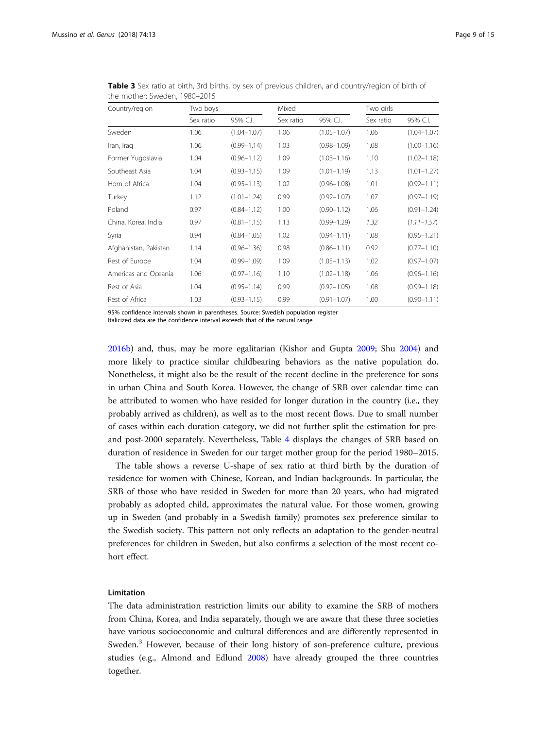| Country/region        | Two boys  |                 | Mixed     |                 | Two girls |                 |
|-----------------------|-----------|-----------------|-----------|-----------------|-----------|-----------------|
|                       | Sex ratio | 95% C.I.        | Sex ratio | 95% C.I.        | Sex ratio | 95% C.I.        |
| Sweden                | 1.06      | $(1.04 - 1.07)$ | 1.06      | $(1.05 - 1.07)$ | 1.06      | $(1.04 - 1.07)$ |
| Iran, Iraq            | 1.06      | $(0.99 - 1.14)$ | 1.03      | $(0.98 - 1.09)$ | 1.08      | $(1.00 - 1.16)$ |
| Former Yugoslavia     | 1.04      | $(0.96 - 1.12)$ | 1.09      | $(1.03 - 1.16)$ | 1.10      | $(1.02 - 1.18)$ |
| Southeast Asia        | 1.04      | $(0.93 - 1.15)$ | 1.09      | $(1.01 - 1.19)$ | 1.13      | $(1.01 - 1.27)$ |
| Horn of Africa        | 1.04      | $(0.95 - 1.13)$ | 1.02      | $(0.96 - 1.08)$ | 1.01      | $(0.92 - 1.11)$ |
| Turkey                | 1.12      | $(1.01 - 1.24)$ | 0.99      | $(0.92 - 1.07)$ | 1.07      | $(0.97 - 1.19)$ |
| Poland                | 0.97      | $(0.84 - 1.12)$ | 1.00      | $(0.90 - 1.12)$ | 1.06      | $(0.91 - 1.24)$ |
| China, Korea, India   | 0.97      | $(0.81 - 1.15)$ | 1.13      | $(0.99 - 1.29)$ | 1.32      | $(1.11 - 1.57)$ |
| Syria                 | 0.94      | $(0.84 - 1.05)$ | 1.02      | $(0.94 - 1.11)$ | 1.08      | $(0.95 - 1.21)$ |
| Afghanistan, Pakistan | 1.14      | $(0.96 - 1.36)$ | 0.98      | $(0.86 - 1.11)$ | 0.92      | $(0.77 - 1.10)$ |
| Rest of Europe        | 1.04      | $(0.99 - 1.09)$ | 1.09      | $(1.05 - 1.13)$ | 1.02      | $(0.97 - 1.07)$ |
| Americas and Oceania  | 1.06      | $(0.97 - 1.16)$ | 1.10      | $(1.02 - 1.18)$ | 1.06      | $(0.96 - 1.16)$ |
| Rest of Asia          | 1.04      | $(0.95 - 1.14)$ | 0.99      | $(0.92 - 1.05)$ | 1.08      | $(0.99 - 1.18)$ |
| Rest of Africa        | 1.03      | $(0.93 - 1.15)$ | 0.99      | $(0.91 - 1.07)$ | 1.00      | $(0.90 - 1.11)$ |

<span id="page-8-0"></span>Table 3 Sex ratio at birth, 3rd births, by sex of previous children, and country/region of birth of the mother: Sweden, 1980–2015

95% confidence intervals shown in parentheses. Source: Swedish population register

Italicized data are the confidence interval exceeds that of the natural range

[2016b](#page-13-0)) and, thus, may be more egalitarian (Kishor and Gupta [2009](#page-13-0); Shu [2004\)](#page-13-0) and more likely to practice similar childbearing behaviors as the native population do. Nonetheless, it might also be the result of the recent decline in the preference for sons in urban China and South Korea. However, the change of SRB over calendar time can be attributed to women who have resided for longer duration in the country (i.e., they probably arrived as children), as well as to the most recent flows. Due to small number of cases within each duration category, we did not further split the estimation for preand post-2000 separately. Nevertheless, Table [4](#page-9-0) displays the changes of SRB based on duration of residence in Sweden for our target mother group for the period 1980–2015.

The table shows a reverse U-shape of sex ratio at third birth by the duration of residence for women with Chinese, Korean, and Indian backgrounds. In particular, the SRB of those who have resided in Sweden for more than 20 years, who had migrated probably as adopted child, approximates the natural value. For those women, growing up in Sweden (and probably in a Swedish family) promotes sex preference similar to the Swedish society. This pattern not only reflects an adaptation to the gender-neutral preferences for children in Sweden, but also confirms a selection of the most recent cohort effect.

#### Limitation

The data administration restriction limits our ability to examine the SRB of mothers from China, Korea, and India separately, though we are aware that these three societies have various socioeconomic and cultural differences and are differently represented in Sweden.<sup>3</sup> However, because of their long history of son-preference culture, previous studies (e.g., Almond and Edlund [2008](#page-12-0)) have already grouped the three countries together.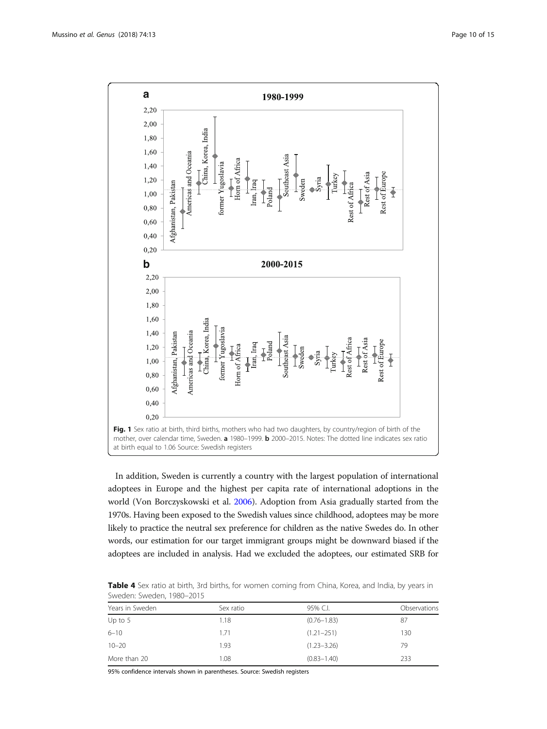<span id="page-9-0"></span>

In addition, Sweden is currently a country with the largest population of international adoptees in Europe and the highest per capita rate of international adoptions in the world (Von Borczyskowski et al. [2006\)](#page-14-0). Adoption from Asia gradually started from the 1970s. Having been exposed to the Swedish values since childhood, adoptees may be more likely to practice the neutral sex preference for children as the native Swedes do. In other words, our estimation for our target immigrant groups might be downward biased if the adoptees are included in analysis. Had we excluded the adoptees, our estimated SRB for

Table 4 Sex ratio at birth, 3rd births, for women coming from China, Korea, and India, by years in Sweden: Sweden, 1980–2015

| .               |           |                 |              |  |
|-----------------|-----------|-----------------|--------------|--|
| Years in Sweden | Sex ratio | 95% C.L         | Observations |  |
| Up to $5$       | 1.18      | $(0.76 - 1.83)$ | 87           |  |
| $6 - 10$        | 1.71      | $(1.21 - 251)$  | 130          |  |
| $10 - 20$       | 1.93      | $(1.23 - 3.26)$ | 79           |  |
| More than 20    | 1.08      | $(0.83 - 1.40)$ | 233          |  |

95% confidence intervals shown in parentheses. Source: Swedish registers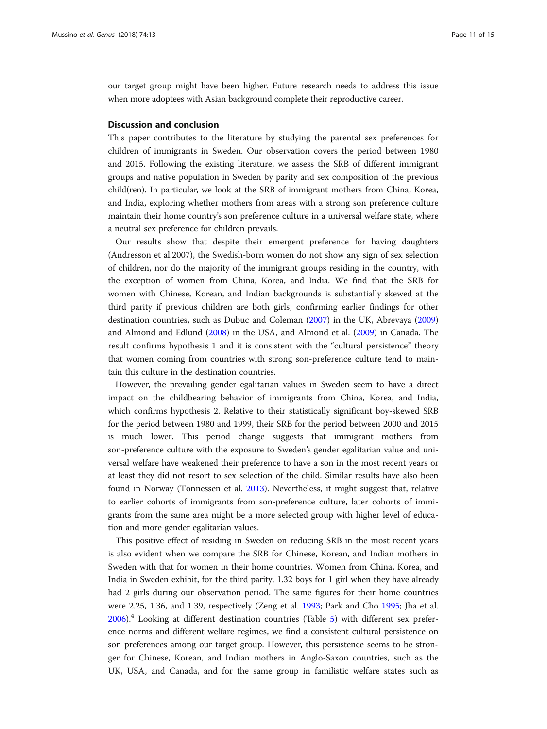our target group might have been higher. Future research needs to address this issue when more adoptees with Asian background complete their reproductive career.

#### Discussion and conclusion

This paper contributes to the literature by studying the parental sex preferences for children of immigrants in Sweden. Our observation covers the period between 1980 and 2015. Following the existing literature, we assess the SRB of different immigrant groups and native population in Sweden by parity and sex composition of the previous child(ren). In particular, we look at the SRB of immigrant mothers from China, Korea, and India, exploring whether mothers from areas with a strong son preference culture maintain their home country's son preference culture in a universal welfare state, where a neutral sex preference for children prevails.

Our results show that despite their emergent preference for having daughters (Andresson et al.2007), the Swedish-born women do not show any sign of sex selection of children, nor do the majority of the immigrant groups residing in the country, with the exception of women from China, Korea, and India. We find that the SRB for women with Chinese, Korean, and Indian backgrounds is substantially skewed at the third parity if previous children are both girls, confirming earlier findings for other destination countries, such as Dubuc and Coleman ([2007](#page-12-0)) in the UK, Abrevaya ([2009](#page-12-0)) and Almond and Edlund [\(2008\)](#page-12-0) in the USA, and Almond et al. ([2009\)](#page-12-0) in Canada. The result confirms hypothesis 1 and it is consistent with the "cultural persistence" theory that women coming from countries with strong son-preference culture tend to maintain this culture in the destination countries.

However, the prevailing gender egalitarian values in Sweden seem to have a direct impact on the childbearing behavior of immigrants from China, Korea, and India, which confirms hypothesis 2. Relative to their statistically significant boy-skewed SRB for the period between 1980 and 1999, their SRB for the period between 2000 and 2015 is much lower. This period change suggests that immigrant mothers from son-preference culture with the exposure to Sweden's gender egalitarian value and universal welfare have weakened their preference to have a son in the most recent years or at least they did not resort to sex selection of the child. Similar results have also been found in Norway (Tonnessen et al. [2013\)](#page-13-0). Nevertheless, it might suggest that, relative to earlier cohorts of immigrants from son-preference culture, later cohorts of immigrants from the same area might be a more selected group with higher level of education and more gender egalitarian values.

This positive effect of residing in Sweden on reducing SRB in the most recent years is also evident when we compare the SRB for Chinese, Korean, and Indian mothers in Sweden with that for women in their home countries. Women from China, Korea, and India in Sweden exhibit, for the third parity, 1.32 boys for 1 girl when they have already had 2 girls during our observation period. The same figures for their home countries were 2.25, 1.36, and 1.39, respectively (Zeng et al. [1993;](#page-14-0) Park and Cho [1995](#page-13-0); Jha et al. [2006](#page-13-0)).4 Looking at different destination countries (Table [5](#page-11-0)) with different sex preference norms and different welfare regimes, we find a consistent cultural persistence on son preferences among our target group. However, this persistence seems to be stronger for Chinese, Korean, and Indian mothers in Anglo-Saxon countries, such as the UK, USA, and Canada, and for the same group in familistic welfare states such as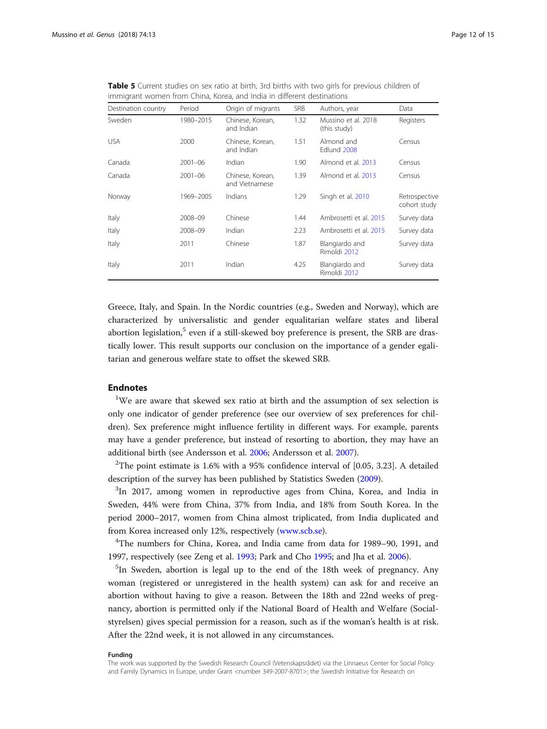<span id="page-11-0"></span>

|                                                                        |  | <b>Table 5</b> Current studies on sex ratio at birth, 3rd births with two girls for previous children of |
|------------------------------------------------------------------------|--|----------------------------------------------------------------------------------------------------------|
| immigrant women from China, Korea, and India in different destinations |  |                                                                                                          |

| Destination country | Period      | Origin of migrants                 | <b>SRB</b> | Authors, year                       | Data                          |
|---------------------|-------------|------------------------------------|------------|-------------------------------------|-------------------------------|
| Sweden              | 1980-2015   | Chinese, Korean,<br>and Indian     | 1.32       | Mussino et al. 2018<br>(this study) | Registers                     |
| <b>USA</b>          | 2000        | Chinese, Korean,<br>and Indian     | 1.51       | Almond and<br>Edlund 2008           | Census                        |
| Canada              | $2001 - 06$ | Indian                             | 1.90       | Almond et al. 2013                  | Census                        |
| Canada              | $2001 - 06$ | Chinese, Korean,<br>and Vietnamese | 1.39       | Almond et al. 2013                  | Census                        |
| Norway              | 1969-2005   | Indians                            | 1.29       | Singh et al. 2010                   | Retrospective<br>cohort study |
| Italy               | 2008-09     | Chinese                            | 1.44       | Ambrosetti et al. 2015              | Survey data                   |
| Italy               | 2008-09     | Indian                             | 2.23       | Ambrosetti et al. 2015              | Survey data                   |
| Italy               | 2011        | Chinese                            | 1.87       | Blangiardo and<br>Rimoldi 2012      | Survey data                   |
| Italy               | 2011        | Indian                             | 4.25       | Blangiardo and<br>Rimoldi 2012      | Survey data                   |

Greece, Italy, and Spain. In the Nordic countries (e.g., Sweden and Norway), which are characterized by universalistic and gender equalitarian welfare states and liberal abortion legislation, $5$  even if a still-skewed boy preference is present, the SRB are drastically lower. This result supports our conclusion on the importance of a gender egalitarian and generous welfare state to offset the skewed SRB.

#### Endnotes

<sup>1</sup>We are aware that skewed sex ratio at birth and the assumption of sex selection is only one indicator of gender preference (see our overview of sex preferences for children). Sex preference might influence fertility in different ways. For example, parents may have a gender preference, but instead of resorting to abortion, they may have an additional birth (see Andersson et al. [2006;](#page-12-0) Andersson et al. [2007\)](#page-12-0).

<sup>2</sup>The point estimate is 1.6% with a 95% confidence interval of  $[0.05, 3.23]$ . A detailed description of the survey has been published by Statistics Sweden [\(2009\)](#page-13-0).

 $3$ In 2017, among women in reproductive ages from China, Korea, and India in Sweden, 44% were from China, 37% from India, and 18% from South Korea. In the period 2000–2017, women from China almost triplicated, from India duplicated and from Korea increased only 12%, respectively ([www.scb.se\)](http://www.scb.se).

4 The numbers for China, Korea, and India came from data for 1989–90, 1991, and 1997, respectively (see Zeng et al. [1993](#page-14-0); Park and Cho [1995](#page-13-0); and Jha et al. [2006](#page-13-0)).

<sup>5</sup>In Sweden, abortion is legal up to the end of the 18th week of pregnancy. Any woman (registered or unregistered in the health system) can ask for and receive an abortion without having to give a reason. Between the 18th and 22nd weeks of pregnancy, abortion is permitted only if the National Board of Health and Welfare (Socialstyrelsen) gives special permission for a reason, such as if the woman's health is at risk. After the 22nd week, it is not allowed in any circumstances.

#### Funding

The work was supported by the Swedish Research Council (Vetenskapsrådet) via the Linnaeus Center for Social Policy and Family Dynamics in Europe, under Grant <number 349-2007-8701>; the Swedish Initiative for Research on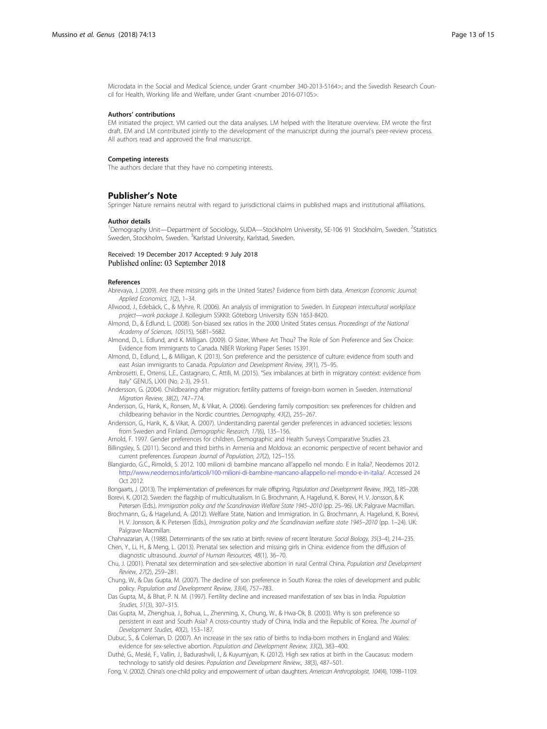<span id="page-12-0"></span>Microdata in the Social and Medical Science, under Grant <number 340-2013-5164>; and the Swedish Research Council for Health, Working life and Welfare, under Grant <number 2016-07105>.

#### Authors' contributions

EM initiated the project. VM carried out the data analyses. LM helped with the literature overview. EM wrote the first draft. EM and LM contributed jointly to the development of the manuscript during the journal's peer-review process. All authors read and approved the final manuscript.

#### Competing interests

The authors declare that they have no competing interests.

#### Publisher's Note

Springer Nature remains neutral with regard to jurisdictional claims in published maps and institutional affiliations.

#### Author details

<sup>1</sup>Demography Unit—Department of Sociology, SUDA—Stockholm University, SE-106 91 Stockholm, Sweden. <sup>2</sup>Statistics Sweden, Stockholm, Sweden. <sup>3</sup>Karlstad University, Karlstad, Sweden.

#### Received: 19 December 2017 Accepted: 9 July 2018 Published online: 03 September 2018

#### References

- Abrevaya, J. (2009). Are there missing girls in the United States? Evidence from birth data. American Economic Journal: Applied Economics, 1(2), 1–34.
- Allwood, J., Edebäck, C., & Myhre, R. (2006). An analysis of immigration to Sweden. In European intercultural workplace project—work package 3. Kollegium SSKKII: Göteborg University ISSN 1653-8420.
- Almond, D., & Edlund, L. (2008). Son-biased sex ratios in the 2000 United States census. Proceedings of the National Academy of Sciences, 105(15), 5681–5682.
- Almond, D., L. Edlund, and K. Milligan. (2009). O Sister, Where Art Thou? The Role of Son Preference and Sex Choice: Evidence from Immigrants to Canada. NBER Working Paper Series 15391.
- Almond, D., Edlund, L., & Milligan, K. (2013). Son preference and the persistence of culture: evidence from south and east Asian immigrants to Canada. Population and Development Review, 39(1), 75–95.
- Ambrosetti, E., Ortensi, L.E., Castagnaro, C. Attili, M. (2015). "Sex imbalances at birth in migratory context: evidence from Italy" GENUS, LXXI (No. 2-3), 29-51.
- Andersson, G. (2004). Childbearing after migration: fertility patterns of foreign-born women in Sweden. International Migration Review, 38(2), 747–774.
- Andersson, G., Hank, K., Ronsen, M., & Vikat, A. (2006). Gendering family composition: sex preferences for children and childbearing behavior in the Nordic countries. Demography, 43(2), 255–267.
- Andersson, G., Hank, K., & Vikat, A. (2007). Understanding parental gender preferences in advanced societies: lessons from Sweden and Finland. Demographic Research, 17(6), 135–156.
- Arnold, F. 1997. Gender preferences for children. Demographic and Health Surveys Comparative Studies 23.
- Billingsley, S. (2011). Second and third births in Armenia and Moldova: an economic perspective of recent behavior and current preferences. European Journal of Population, 27(2), 125–155.
- Blangiardo, G.C., Rimoldi, S. 2012. 100 milioni di bambine mancano all'appello nel mondo. E in Italia?, Neodemos 2012. <http://www.neodemos.info/articoli/100-milioni-di-bambine-mancano-allappello-nel-mondo-e-in-italia/>. Accessed 24 Oct 2012.
- Bongaarts, J. (2013). The implementation of preferences for male offspring. Population and Development Review, 39(2), 185–208. Borevi, K. (2012). Sweden: the flagship of multiculturalism. In G. Brochmann, A. Hagelund, K. Borevi, H. V. Jonsson, & K.
- Petersen (Eds.), Immigration policy and the Scandinavian Welfare State 1945–2010 (pp. 25–96). UK: Palgrave Macmillan. Brochmann, G., & Hagelund, A. (2012). Welfare State, Nation and Immigration. In G. Brochmann, A. Hagelund, K. Borevi, H. V. Jonsson, & K. Petersen (Eds.), Immigration policy and the Scandinavian welfare state 1945–2010 (pp. 1–24). UK: Palgrave Macmillan.
- Chahnazarian, A. (1988). Determinants of the sex ratio at birth: review of recent literature. Social Biology, 35(3–4), 214–235.
- Chen, Y., Li, H., & Meng, L. (2013). Prenatal sex selection and missing girls in China: evidence from the diffusion of diagnostic ultrasound. Journal of Human Resources, 48(1), 36–70.
- Chu, J. (2001). Prenatal sex determination and sex-selective abortion in rural Central China. Population and Development Review, 27(2), 259–281.
- Chung, W., & Das Gupta, M. (2007). The decline of son preference in South Korea: the roles of development and public policy. Population and Development Review, 33(4), 757–783.
- Das Gupta, M., & Bhat, P. N. M. (1997). Fertility decline and increased manifestation of sex bias in India. Population Studies, 51(3), 307–315.
- Das Gupta, M., Zhenghua, J., Bohua, L., Zhenming, X., Chung, W., & Hwa-Ok, B. (2003). Why is son preference so persistent in east and South Asia? A cross-country study of China, India and the Republic of Korea. The Journal of Development Studies, 40(2), 153–187.
- Dubuc, S., & Coleman, D. (2007). An increase in the sex ratio of births to India-born mothers in England and Wales: evidence for sex-selective abortion. Population and Development Review, 33(2), 383–400.
- Duthé, G., Meslé, F., Vallin, J., Badurashvili, I., & Kuyumjyan, K. (2012). High sex ratios at birth in the Caucasus: modern technology to satisfy old desires. Population and Development Review., 38(3), 487–501.
- Fong, V. (2002). China's one-child policy and empowerment of urban daughters. American Anthropologist, 104(4), 1098–1109.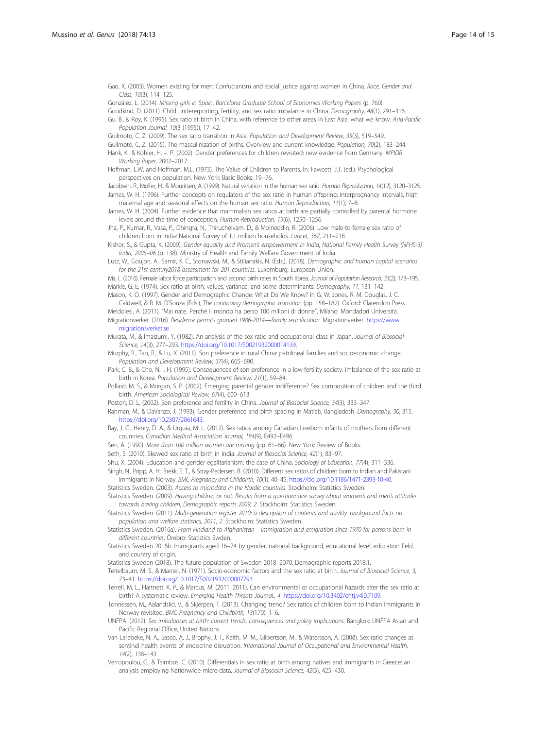<span id="page-13-0"></span>Gao, X. (2003). Women existing for men: Confucianism and social justice against women in China. Race, Gender and Class, 10(3), 114–125.

González, L. (2014). Missing girls in Spain, Barcelona Graduate School of Economics Working Papers (p. 760).

Goodkind, D. (2011). Child undererporting, fertility, and sex ratio imbalance in China. Demography, 48(1), 291–316. Gu, B., & Roy, K. (1995). Sex ratio at birth in China, with reference to other areas in East Asia: what we know. Asia-Pacific

Population Journal, 10(3 (1995)), 17–42.

Guilmoto, C. Z. (2009). The sex ratio transition in Asia. Population and Development Review, 35(3), 519–549.

Guilmoto, C. Z. (2015). The masculinization of births. Overview and current knowledge. Population, 70(2), 183–244. Hank, K., & Kohler, H. –. P. (2002). Gender preferences for children revisited: new evidence from Germany. MPIDR Working Paper, 2002–2017.

Hoffman, L.W. and Hoffman, M.L. (1973). The Value of Children to Parents. In: Fawcett, J.T. (ed.). Psychological perspectives on population. New York: Basic Books: 19−76.

Jacobsen, R., Moller, H., & Mouritsen, A. (1999). Natural variation in the human sex ratio. Human Reproduction, 14(12), 3120–3125. James, W. H. (1996). Further concepts on regulators of the sex ratio in human offspring: Interpregnancy intervals, high maternal age and seasonal effects on the human sex ratio. Human Reproduction, 11(1), 7–8.

James, W. H. (2004). Further evidence that mammalian sex ratios at birth are partially controlled by parental hormone levels around the time of conception. Human Reproduction, 19(6), 1250–1256.

Jha, P., Kumar, R., Vasa, P., Dhingra, N., Thiruchelvam, D., & Moineddin, R. (2006). Low male-to-female sex ratio of children born in India: National Survey of 1.1 million households. Lancet, 367, 211–218.

Kishor, S., & Gupta, K. (2009). Gender equality and Women's empowerment in India, National Family Health Survey (NFHS-3) India, 2005–06 (p. 138). Ministry of Health and Family Welfare Government of India.

Lutz, W., Goujon, A., Samir, K. C., Stonawski, M., & Stilianakis, N. (Eds.). (2018). Demographic and human capital scenarios for the 21st century2018 assessment for 201 countries. Luxemburg: European Union.

Ma, L. (2016). Female labor force participation and second birth rates in South Korea. Journal of Population Research, 33(2), 173-195. Markle, G. E. (1974). Sex ratio at birth: values, variance, and some determinants. Demography, 11, 131–142.

Mason, K. O. (1997). Gender and Demographic Change: What Do We Know? In G. W. Jones, R. M. Douglas, J. C. Caldwell, & R. M. D'Souza (Eds.), The continuing demographic transition (pp. 158–182). Oxford: Clarendon Press. Meldolesi, A. (2011). "Mai nate. Perché il mondo ha perso 100 milioni di donne", Milano: Mondadori Università.

Migrationverket. (2016). Residence permits granted 1986-2014—family reunification. Migrationverket. [https://www.](https://www.migrationsverket.se) [migrationsverket.se](https://www.migrationsverket.se)

Murata, M., & Imaizumi, Y. (1982). An analysis of the sex ratio and occupational class in Japan. Journal of Biosocial Science, 14(3), 277–293. <https://doi.org/10.1017/S0021932000014139>.

Murphy, R., Tao, R., & Lu, X. (2011). Son preference in rural China: patrilineal families and socioeconomic change. Population and Development Review, 37(4), 665–690.

Park, C. B., & Cho, N.–. H. (1995). Consequences of son preference in a low-fertility society: imbalance of the sex ratio at birth in Korea. Population and Development Review, 21(1), 59–84.

Pollard, M. S., & Morgan, S. P. (2002). Emerging parental gender indifference? Sex composition of children and the third birth. American Sociological Review, 67(4), 600–613.

Poston, D. L. (2002). Son preference and fertility in China. Journal of Biosocial Science, 34(3), 333-347.

Rahman, M., & DaVanzo, J. (1993). Gender preference and birth spacing in Matlab, Bangladesh. Demography, 30, 315. [https://doi.org/10.2307/2061643.](https://doi.org/10.2307/2061643)

Ray, J. G., Henry, D. A., & Urquia, M. L. (2012). Sex ratios among Canadian Liveborn infants of mothers from different countries. Canadian Medical Association Journal, 184(9), E492–E496.

Sen, A. (1990). More than 100 million women are missing (pp. 61–66). New York: Review of Books.

Seth, S. (2010). Skewed sex ratio at birth in India. Journal of Biosocial Science, 42(1), 83-97.

Shu, X. (2004). Education and gender egalitarianism: the case of China. Sociology of Education, 77(4), 311–336.

Singh, N., Pripp, A. H., Brekk, E. T., & Stray-Pedersen, B. (2010). Different sex ratios of children born to Indian and Pakistani immigrants in Norway. BMC Pregnancy and Childbirth, 10(1), 40–45. [https://doi.org/10.1186/1471-2393-10-40.](https://doi.org/10.1186/1471-2393-10-40)

Statistics Sweden. (2003). Access to microdata in the Nordic countries. Stockholm: Statistics Sweden.

Statistics Sweden. (2009). Having children or not: Results from a questionnaire survey about women's and men's attitudes towards having children, Demographic reports 2009, 2. Stockholm: Statistics Sweden.

Statistics Sweden. (2011). Multi-generation register 2010: a description of contents and quality. background facts on population and welfare statistics, 2011, 2. Stockholm: Statistics Sweden.

Statistics Sweden. (2016a). From Findland to Afghanistan—immigration and emigration since 1970 for persons born in different countries. Örebro: Statistics Swden.

Statistics Sweden 2016b. Immigrants aged 16–74 by gender, national background, educational level, education field, and country of origin.

Statistics Sweden (2018). The future population of Sweden 2018–2070. Demographic reports 2018:1.

Teitelbaum, M. S., & Mantel, N. (1971). Socio-economic factors and the sex ratio at birth. Journal of Biosocial Science, 3, 23–41. <https://doi.org/10.1017/S0021932000007793>.

Terrell, M. L., Hartnett, K. P., & Marcus, M. (2011, 2011). Can environmental or occupational hazards alter the sex ratio at birth? A systematic review. Emerging Health Threats Journal., 4. <https://doi.org/10.3402/ehtj.v4i0.7109>.

Tonnessen, M., Aalandslid, V., & Skjerpen, T. (2013). Changing trend? Sex ratios of children born to Indian immigrants in Norway revisited. BMC Pregnancy and Childbirth, 13(170), 1–6.

UNFPA. (2012). Sex imbalances at birth: current trends, consequences and policy implications. Bangkok: UNFPA Asian and Pacific Regional Office, United Nations.

Van Larebeke, N. A., Sasco, A. J., Brophy, J. T., Keith, M. M., Gilbertson, M., & Watersson, A. (2008). Sex ratio changes as sentinel health events of endocrine disruption. International Journal of Occupational and Environmental Health, 14(2), 138–143.

Verropoulou, G., & Tsimbos, C. (2010). Differentials in sex ratio at birth among natives and immigrants in Greece: an analysis employing Nationwide micro-data. Journal of Biosocial Science, 42(3), 425–430.